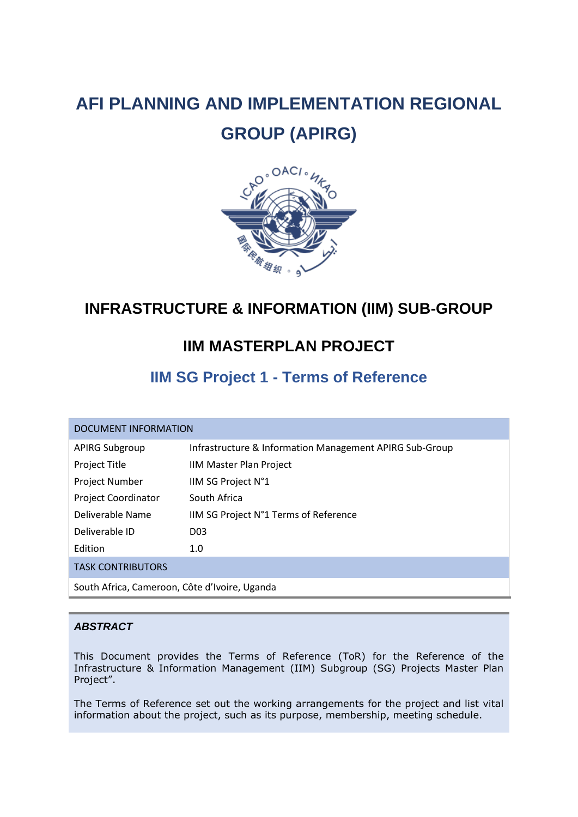# **AFI PLANNING AND IMPLEMENTATION REGIONAL GROUP (APIRG)**



## **INFRASTRUCTURE & INFORMATION (IIM) SUB-GROUP**

## **IIM MASTERPLAN PROJECT**

## **IIM SG Project 1 - Terms of Reference**

| DOCUMENT INFORMATION                          |                                                         |  |
|-----------------------------------------------|---------------------------------------------------------|--|
| <b>APIRG Subgroup</b>                         | Infrastructure & Information Management APIRG Sub-Group |  |
| <b>Project Title</b>                          | <b>IIM Master Plan Project</b>                          |  |
| Project Number                                | IIM SG Project N°1                                      |  |
| <b>Project Coordinator</b>                    | South Africa                                            |  |
| Deliverable Name                              | IIM SG Project N°1 Terms of Reference                   |  |
| Deliverable ID                                | D <sub>03</sub>                                         |  |
| Edition                                       | 1.0                                                     |  |
| <b>TASK CONTRIBUTORS</b>                      |                                                         |  |
| South Africa, Cameroon, Côte d'Ivoire, Uganda |                                                         |  |

## *ABSTRACT*

This Document provides the Terms of Reference (ToR) for the Reference of the Infrastructure & Information Management (IIM) Subgroup (SG) Projects Master Plan Project".

The Terms of Reference set out the working arrangements for the project and list vital information about the project, such as its purpose, membership, meeting schedule.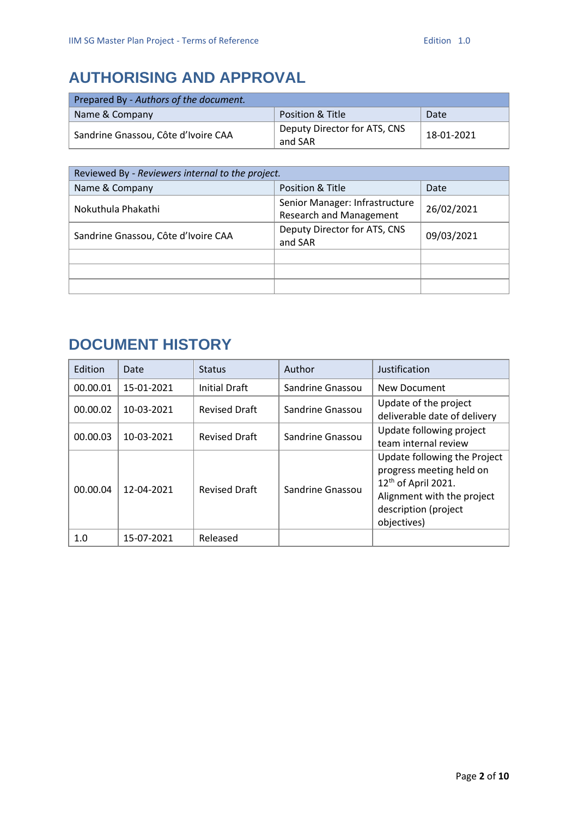## <span id="page-1-0"></span>**AUTHORISING AND APPROVAL**

| Prepared By - Authors of the document. |                                         |            |
|----------------------------------------|-----------------------------------------|------------|
| Name & Company                         | Position & Title                        | Date       |
| Sandrine Gnassou, Côte d'Ivoire CAA    | Deputy Director for ATS, CNS<br>and SAR | 18-01-2021 |

| Reviewed By - Reviewers internal to the project. |                                                                  |            |  |
|--------------------------------------------------|------------------------------------------------------------------|------------|--|
| Name & Company                                   | Position & Title                                                 | Date       |  |
| Nokuthula Phakathi                               | Senior Manager: Infrastructure<br><b>Research and Management</b> | 26/02/2021 |  |
| Sandrine Gnassou, Côte d'Ivoire CAA              | Deputy Director for ATS, CNS<br>and SAR                          | 09/03/2021 |  |
|                                                  |                                                                  |            |  |
|                                                  |                                                                  |            |  |
|                                                  |                                                                  |            |  |

## **DOCUMENT HISTORY**

| Edition  | Date       | <b>Status</b>        | Author           | Justification                                                                                                                                                    |
|----------|------------|----------------------|------------------|------------------------------------------------------------------------------------------------------------------------------------------------------------------|
| 00.00.01 | 15-01-2021 | <b>Initial Draft</b> | Sandrine Gnassou | New Document                                                                                                                                                     |
| 00.00.02 | 10-03-2021 | <b>Revised Draft</b> | Sandrine Gnassou | Update of the project<br>deliverable date of delivery                                                                                                            |
| 00.00.03 | 10-03-2021 | <b>Revised Draft</b> | Sandrine Gnassou | Update following project<br>team internal review                                                                                                                 |
| 00.00.04 | 12-04-2021 | <b>Revised Draft</b> | Sandrine Gnassou | Update following the Project<br>progress meeting held on<br>12 <sup>th</sup> of April 2021.<br>Alignment with the project<br>description (project<br>objectives) |
| 1.0      | 15-07-2021 | Released             |                  |                                                                                                                                                                  |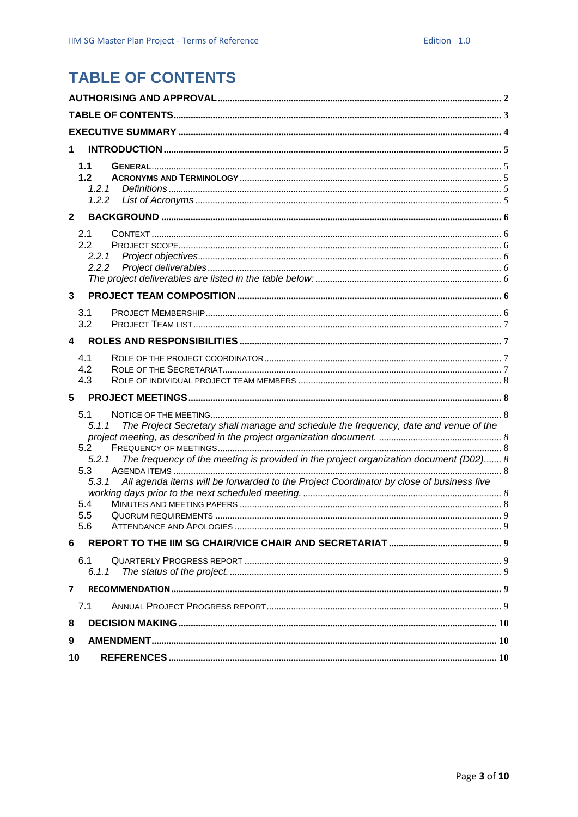## <span id="page-2-0"></span>**TABLE OF CONTENTS**

| 1                                                                                                                                                                                                                                                                                                                                             |
|-----------------------------------------------------------------------------------------------------------------------------------------------------------------------------------------------------------------------------------------------------------------------------------------------------------------------------------------------|
| 1.1<br>1.2<br>1.2.1<br>1.2.2                                                                                                                                                                                                                                                                                                                  |
| $\mathbf{2}$                                                                                                                                                                                                                                                                                                                                  |
| 2.1<br>2.2<br>2.2.1<br>2.2.2                                                                                                                                                                                                                                                                                                                  |
| 3                                                                                                                                                                                                                                                                                                                                             |
| 3.1<br>3.2                                                                                                                                                                                                                                                                                                                                    |
| 4                                                                                                                                                                                                                                                                                                                                             |
| 4.1<br>4.2<br>4.3                                                                                                                                                                                                                                                                                                                             |
| 5                                                                                                                                                                                                                                                                                                                                             |
| 5.1<br>The Project Secretary shall manage and schedule the frequency, date and venue of the<br>5.1.1<br>5.2<br>The frequency of the meeting is provided in the project organization document (D02) 8<br>5.2.1<br>5.3<br>All agenda items will be forwarded to the Project Coordinator by close of business five<br>5.3.1<br>5.4<br>5.5<br>5.6 |
| 6                                                                                                                                                                                                                                                                                                                                             |
| 6.1<br>6.1.1<br>7<br>7.1                                                                                                                                                                                                                                                                                                                      |
| 8                                                                                                                                                                                                                                                                                                                                             |
| 9                                                                                                                                                                                                                                                                                                                                             |
| 10                                                                                                                                                                                                                                                                                                                                            |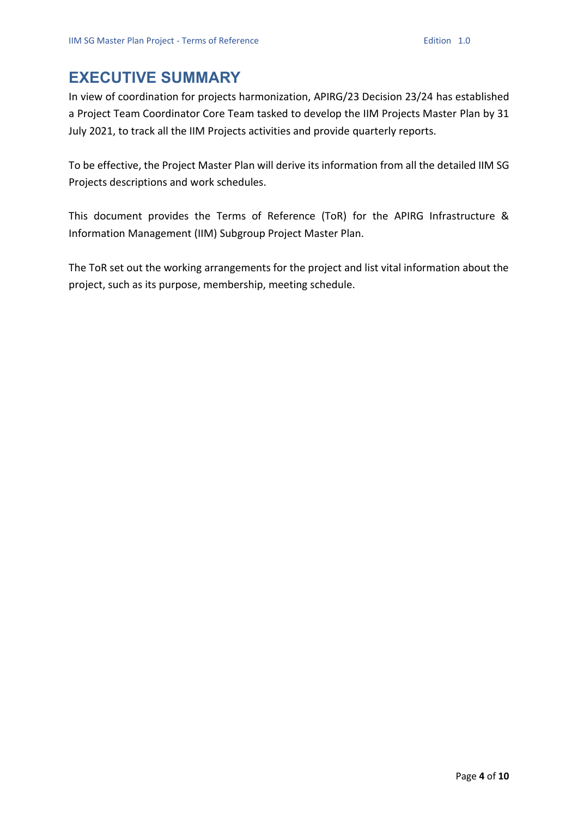## <span id="page-3-0"></span>**EXECUTIVE SUMMARY**

In view of coordination for projects harmonization, APIRG/23 Decision 23/24 has established a Project Team Coordinator Core Team tasked to develop the IIM Projects Master Plan by 31 July 2021, to track all the IIM Projects activities and provide quarterly reports.

To be effective, the Project Master Plan will derive its information from all the detailed IIM SG Projects descriptions and work schedules.

This document provides the Terms of Reference (ToR) for the APIRG Infrastructure & Information Management (IIM) Subgroup Project Master Plan.

The ToR set out the working arrangements for the project and list vital information about the project, such as its purpose, membership, meeting schedule.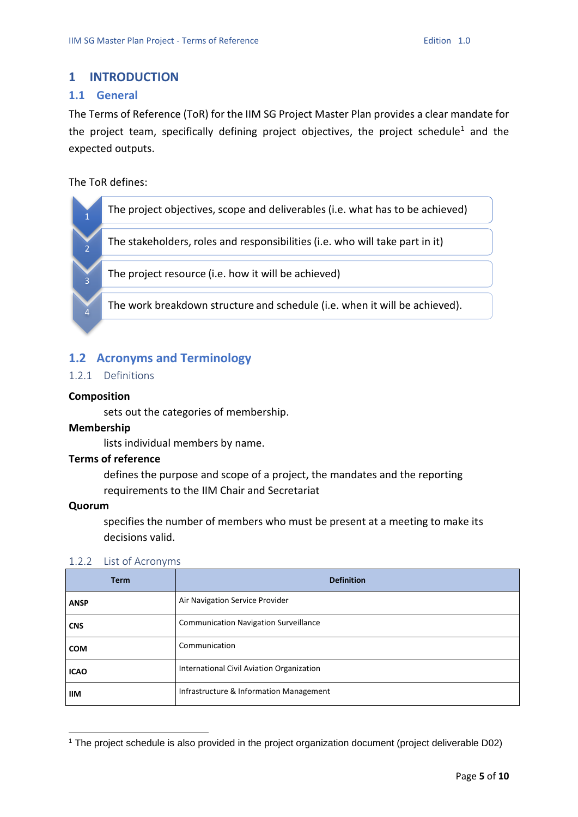## <span id="page-4-0"></span>**1 INTRODUCTION**

### <span id="page-4-1"></span>**1.1 General**

The Terms of Reference (ToR) for the IIM SG Project Master Plan provides a clear mandate for the project team, specifically defining project objectives, the project schedule<sup>1</sup> and the expected outputs.

The ToR defines:

1

2

3

4

The project objectives, scope and deliverables (i.e. what has to be achieved)

The stakeholders, roles and responsibilities (i.e. who will take part in it)

The project resource (i.e. how it will be achieved)

The work breakdown structure and schedule (i.e. when it will be achieved).

## <span id="page-4-2"></span>**1.2 Acronyms and Terminology**

#### <span id="page-4-3"></span>1.2.1 Definitions

#### **Composition**

sets out the categories of membership.

#### **Membership**

lists individual members by name.

#### **Terms of reference**

defines the purpose and scope of a project, the mandates and the reporting requirements to the IIM Chair and Secretariat

#### **Quorum**

specifies the number of members who must be present at a meeting to make its decisions valid.

<span id="page-4-4"></span>1.2.2 List of Acronyms

| <b>Term</b> | <b>Definition</b>                            |
|-------------|----------------------------------------------|
| <b>ANSP</b> | Air Navigation Service Provider              |
| <b>CNS</b>  | <b>Communication Navigation Surveillance</b> |
| <b>COM</b>  | Communication                                |
| <b>ICAO</b> | International Civil Aviation Organization    |
| ШM          | Infrastructure & Information Management      |

<sup>1</sup> The project schedule is also provided in the project organization document (project deliverable D02)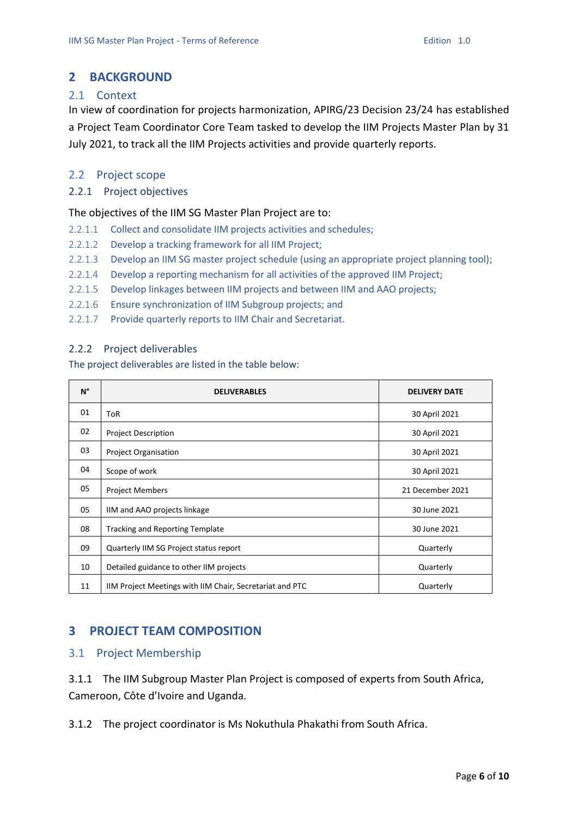## <span id="page-5-0"></span>**2 BACKGROUND**

## <span id="page-5-1"></span>2.1 Context

In view of coordination for projects harmonization, APIRG/23 Decision 23/24 has established a Project Team Coordinator Core Team tasked to develop the IIM Projects Master Plan by 31 July 2021, to track all the IIM Projects activities and provide quarterly reports.

### <span id="page-5-2"></span>2.2 Project scope

#### <span id="page-5-3"></span>2.2.1 Project objectives

#### The objectives of the IIM SG Master Plan Project are to:

- 2.2.1.1 Collect and consolidate IIM projects activities and schedules;
- 2.2.1.2 Develop a tracking framework for all IIM Project;
- 2.2.1.3 Develop an IIM SG master project schedule (using an appropriate project planning tool);
- 2.2.1.4 Develop a reporting mechanism for all activities of the approved IIM Project;
- 2.2.1.5 Develop linkages between IIM projects and between IIM and AAO projects;
- 2.2.1.6 Ensure synchronization of IIM Subgroup projects; and
- 2.2.1.7 Provide quarterly reports to IIM Chair and Secretariat.

#### <span id="page-5-4"></span>2.2.2 Project deliverables

<span id="page-5-5"></span>The project deliverables are listed in the table below:

| N° | <b>DELIVERABLES</b>                                      | <b>DELIVERY DATE</b> |
|----|----------------------------------------------------------|----------------------|
| 01 | <b>ToR</b>                                               | 30 April 2021        |
| 02 | <b>Project Description</b>                               | 30 April 2021        |
| 03 | <b>Project Organisation</b>                              | 30 April 2021        |
| 04 | Scope of work                                            | 30 April 2021        |
| 05 | <b>Project Members</b>                                   | 21 December 2021     |
| 05 | IIM and AAO projects linkage                             | 30 June 2021         |
| 08 | <b>Tracking and Reporting Template</b>                   | 30 June 2021         |
| 09 | Quarterly IIM SG Project status report                   | Quarterly            |
| 10 | Detailed guidance to other IIM projects                  | Quarterly            |
| 11 | IIM Project Meetings with IIM Chair, Secretariat and PTC | Quarterly            |

## <span id="page-5-6"></span>**3 PROJECT TEAM COMPOSITION**

## <span id="page-5-7"></span>3.1 Project Membership

3.1.1 The IIM Subgroup Master Plan Project is composed of experts from South Africa, Cameroon, Côte d'Ivoire and Uganda.

3.1.2 The project coordinator is Ms Nokuthula Phakathi from South Africa.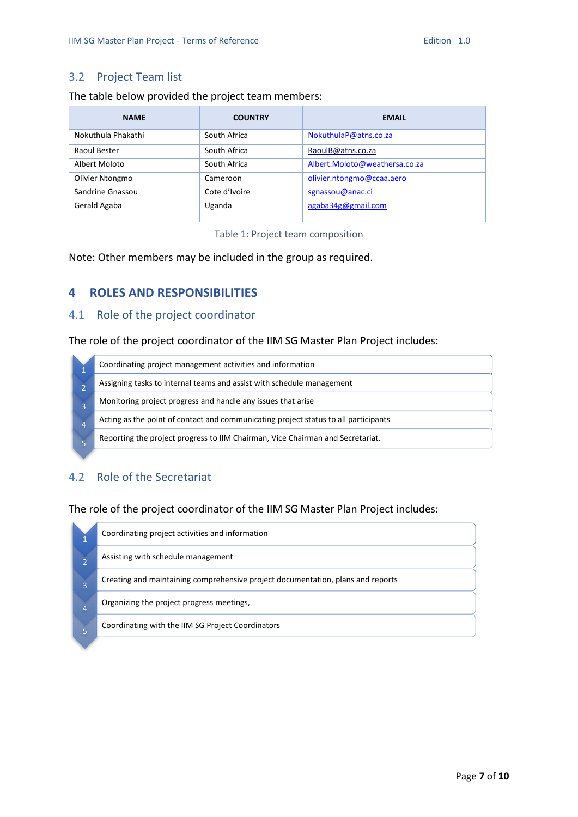## <span id="page-6-0"></span>3.2 Project Team list

#### The table below provided the project team members:

| <b>NAME</b>        | <b>COUNTRY</b> | <b>EMAIL</b>                  |
|--------------------|----------------|-------------------------------|
| Nokuthula Phakathi | South Africa   | NokuthulaP@atns.co.za         |
| Raoul Bester       | South Africa   | RaoulB@atns.co.za             |
| Albert Moloto      | South Africa   | Albert.Moloto@weathersa.co.za |
| Olivier Ntongmo    | Cameroon       | olivier.ntongmo@ccaa.aero     |
| Sandrine Gnassou   | Cote d'Ivoire  | sgnassou@anac.ci              |
| Gerald Agaba       | Uganda         | agaba34g@gmail.com            |

Table 1: Project team composition

Note: Other members may be included in the group as required.

## <span id="page-6-1"></span>**4 ROLES AND RESPONSIBILITIES**

## <span id="page-6-2"></span>4.1 Role of the project coordinator

The role of the project coordinator of the IIM SG Master Plan Project includes:

|                | Coordinating project management activities and information                          |
|----------------|-------------------------------------------------------------------------------------|
|                | Assigning tasks to internal teams and assist with schedule management               |
| $\overline{3}$ | Monitoring project progress and handle any issues that arise                        |
| $\overline{4}$ | Acting as the point of contact and communicating project status to all participants |
|                | Reporting the project progress to IIM Chairman, Vice Chairman and Secretariat.      |
|                |                                                                                     |

## <span id="page-6-3"></span>4.2 Role of the Secretariat

The role of the project coordinator of the IIM SG Master Plan Project includes:

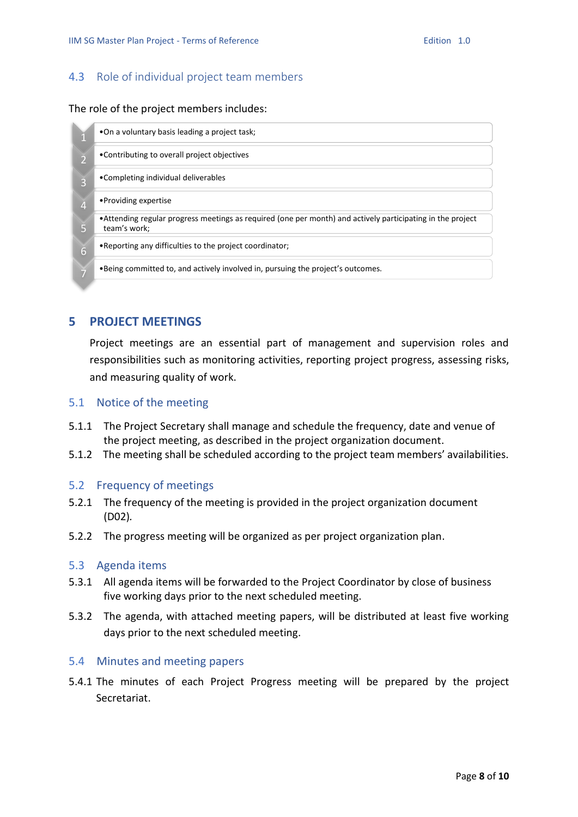## <span id="page-7-0"></span>4.3 Role of individual project team members

#### The role of the project members includes:

|   | •On a voluntary basis leading a project task;                                                                               |  |
|---|-----------------------------------------------------------------------------------------------------------------------------|--|
|   | • Contributing to overall project objectives                                                                                |  |
| B | •Completing individual deliverables                                                                                         |  |
| 4 | • Providing expertise                                                                                                       |  |
|   | • Attending regular progress meetings as required (one per month) and actively participating in the project<br>team's work; |  |
| 6 | .Reporting any difficulties to the project coordinator;                                                                     |  |
|   | . Being committed to, and actively involved in, pursuing the project's outcomes.                                            |  |

## <span id="page-7-1"></span>**5 PROJECT MEETINGS**

Project meetings are an essential part of management and supervision roles and responsibilities such as monitoring activities, reporting project progress, assessing risks, and measuring quality of work.

#### <span id="page-7-2"></span>5.1 Notice of the meeting

- <span id="page-7-3"></span>5.1.1 The Project Secretary shall manage and schedule the frequency, date and venue of the project meeting, as described in the project organization document.
- 5.1.2 The meeting shall be scheduled according to the project team members' availabilities.

#### <span id="page-7-4"></span>5.2 Frequency of meetings

- <span id="page-7-5"></span>5.2.1 The frequency of the meeting is provided in the project organization document (D02)*.*
- 5.2.2 The progress meeting will be organized as per project organization plan.

#### <span id="page-7-6"></span>5.3 Agenda items

- <span id="page-7-7"></span>5.3.1 All agenda items will be forwarded to the Project Coordinator by close of business five working days prior to the next scheduled meeting.
- 5.3.2 The agenda, with attached meeting papers, will be distributed at least five working days prior to the next scheduled meeting.

#### <span id="page-7-8"></span>5.4 Minutes and meeting papers

5.4.1 The minutes of each Project Progress meeting will be prepared by the project Secretariat.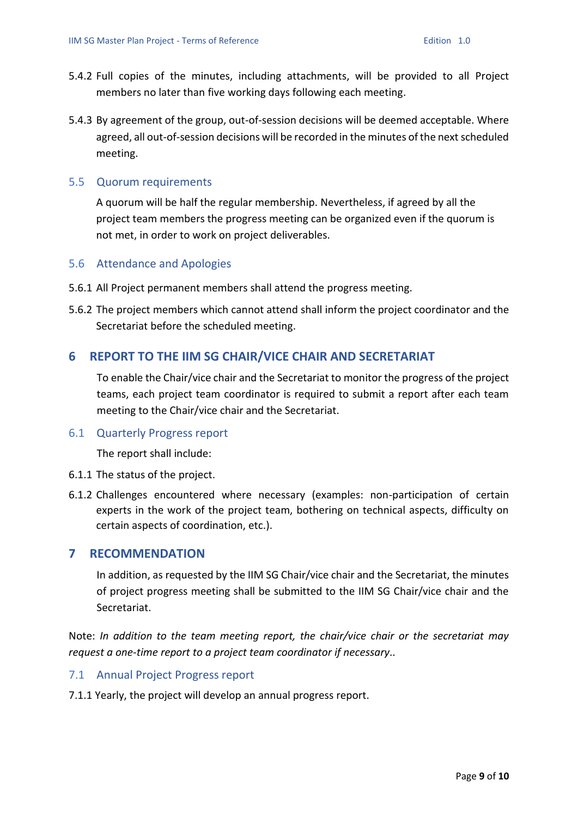- 5.4.2 Full copies of the minutes, including attachments, will be provided to all Project members no later than five working days following each meeting.
- 5.4.3 By agreement of the group, out-of-session decisions will be deemed acceptable. Where agreed, all out-of-session decisions will be recorded in the minutes of the next scheduled meeting.

## <span id="page-8-0"></span>5.5 Quorum requirements

A quorum will be half the regular membership. Nevertheless, if agreed by all the project team members the progress meeting can be organized even if the quorum is not met, in order to work on project deliverables.

## <span id="page-8-1"></span>5.6 Attendance and Apologies

- 5.6.1 All Project permanent members shall attend the progress meeting.
- 5.6.2 The project members which cannot attend shall inform the project coordinator and the Secretariat before the scheduled meeting.

## <span id="page-8-2"></span>**6 REPORT TO THE IIM SG CHAIR/VICE CHAIR AND SECRETARIAT**

To enable the Chair/vice chair and the Secretariat to monitor the progress of the project teams, each project team coordinator is required to submit a report after each team meeting to the Chair/vice chair and the Secretariat.

#### <span id="page-8-3"></span>6.1 Quarterly Progress report

The report shall include:

- <span id="page-8-4"></span>6.1.1 The status of the project.
- 6.1.2 Challenges encountered where necessary (examples: non-participation of certain experts in the work of the project team, bothering on technical aspects, difficulty on certain aspects of coordination, etc.).

## <span id="page-8-5"></span>**7 RECOMMENDATION**

In addition, as requested by the IIM SG Chair/vice chair and the Secretariat, the minutes of project progress meeting shall be submitted to the IIM SG Chair/vice chair and the Secretariat.

Note: *In addition to the team meeting report, the chair/vice chair or the secretariat may request a one-time report to a project team coordinator if necessary..* 

## <span id="page-8-6"></span>7.1 Annual Project Progress report

7.1.1 Yearly, the project will develop an annual progress report.